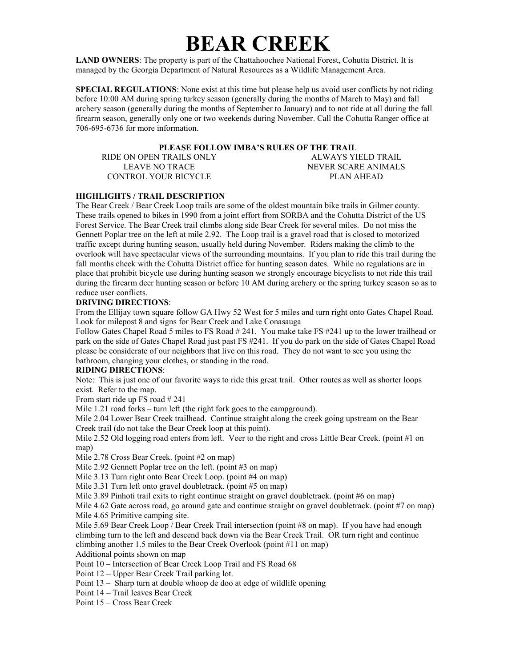# **BEAR CREEK**

**LAND OWNERS**: The property is part of the Chattahoochee National Forest, Cohutta District. It is managed by the Georgia Department of Natural Resources as a Wildlife Management Area.

**SPECIAL REGULATIONS**: None exist at this time but please help us avoid user conflicts by not riding before 10:00 AM during spring turkey season (generally during the months of March to May) and fall archery season (generally during the months of September to January) and to not ride at all during the fall firearm season, generally only one or two weekends during November. Call the Cohutta Ranger office at 706-695-6736 for more information.

## **PLEASE FOLLOW IMBA'S RULES OF THE TRAIL**

RIDE ON OPEN TRAILS ONLY LEAVE NO TRACE CONTROL YOUR BICYCLE

ALWAYS YIELD TRAIL NEVER SCARE ANIMALS PLAN AHEAD

## **HIGHLIGHTS / TRAIL DESCRIPTION**

The Bear Creek / Bear Creek Loop trails are some of the oldest mountain bike trails in Gilmer county. These trails opened to bikes in 1990 from a joint effort from SORBA and the Cohutta District of the US Forest Service. The Bear Creek trail climbs along side Bear Creek for several miles. Do not miss the Gennett Poplar tree on the left at mile 2.92. The Loop trail is a gravel road that is closed to motorized traffic except during hunting season, usually held during November. Riders making the climb to the overlook will have spectacular views of the surrounding mountains. If you plan to ride this trail during the fall months check with the Cohutta District office for hunting season dates. While no regulations are in place that prohibit bicycle use during hunting season we strongly encourage bicyclists to not ride this trail during the firearm deer hunting season or before 10 AM during archery or the spring turkey season so as to reduce user conflicts.

#### **DRIVING DIRECTIONS**:

From the Ellijay town square follow GA Hwy 52 West for 5 miles and turn right onto Gates Chapel Road. Look for milepost 8 and signs for Bear Creek and Lake Conasauga

Follow Gates Chapel Road 5 miles to FS Road # 241. You make take FS #241 up to the lower trailhead or park on the side of Gates Chapel Road just past FS #241. If you do park on the side of Gates Chapel Road please be considerate of our neighbors that live on this road. They do not want to see you using the bathroom, changing your clothes, or standing in the road.

## **RIDING DIRECTIONS**:

Note: This is just one of our favorite ways to ride this great trail. Other routes as well as shorter loops exist. Refer to the map.

From start ride up FS road # 241

Mile 1.21 road forks – turn left (the right fork goes to the campground).

Mile 2.04 Lower Bear Creek trailhead. Continue straight along the creek going upstream on the Bear Creek trail (do not take the Bear Creek loop at this point).

Mile 2.52 Old logging road enters from left. Veer to the right and cross Little Bear Creek. (point #1 on map)

Mile 2.78 Cross Bear Creek. (point #2 on map)

Mile 2.92 Gennett Poplar tree on the left. (point #3 on map)

Mile 3.13 Turn right onto Bear Creek Loop. (point #4 on map)

Mile 3.31 Turn left onto gravel doubletrack. (point #5 on map)

Mile 3.89 Pinhoti trail exits to right continue straight on gravel doubletrack. (point #6 on map)

Mile 4.62 Gate across road, go around gate and continue straight on gravel doubletrack. (point #7 on map) Mile 4.65 Primitive camping site.

Mile 5.69 Bear Creek Loop / Bear Creek Trail intersection (point #8 on map). If you have had enough climbing turn to the left and descend back down via the Bear Creek Trail. OR turn right and continue climbing another 1.5 miles to the Bear Creek Overlook (point #11 on map)

Additional points shown on map

Point 10 – Intersection of Bear Creek Loop Trail and FS Road 68

Point 12 – Upper Bear Creek Trail parking lot.

Point 13 – Sharp turn at double whoop de doo at edge of wildlife opening

Point 14 – Trail leaves Bear Creek

Point 15 – Cross Bear Creek